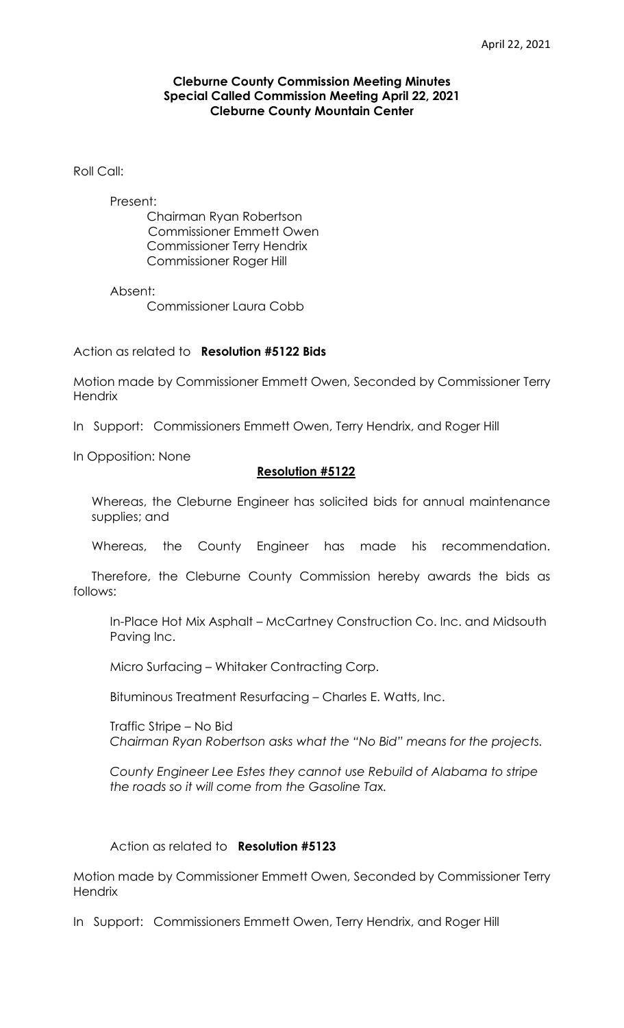## **Cleburne County Commission Meeting Minutes Special Called Commission Meeting April 22, 2021 Cleburne County Mountain Center**

Roll Call:

Present:

 Chairman Ryan Robertson Commissioner Emmett Owen Commissioner Terry Hendrix Commissioner Roger Hill

Absent:

Commissioner Laura Cobb

Action as related to **Resolution #5122 Bids**

Motion made by Commissioner Emmett Owen, Seconded by Commissioner Terry **Hendrix** 

In Support: Commissioners Emmett Owen, Terry Hendrix, and Roger Hill

In Opposition: None

## **Resolution #5122**

Whereas, the Cleburne Engineer has solicited bids for annual maintenance supplies; and

Whereas, the County Engineer has made his recommendation.

Therefore, the Cleburne County Commission hereby awards the bids as follows:

In-Place Hot Mix Asphalt – McCartney Construction Co. Inc. and Midsouth Paving Inc.

Micro Surfacing – Whitaker Contracting Corp.

Bituminous Treatment Resurfacing – Charles E. Watts, Inc.

Traffic Stripe – No Bid *Chairman Ryan Robertson asks what the "No Bid" means for the projects.*

*County Engineer Lee Estes they cannot use Rebuild of Alabama to stripe the roads so it will come from the Gasoline Tax.*

## Action as related to **Resolution #5123**

Motion made by Commissioner Emmett Owen, Seconded by Commissioner Terry **Hendrix** 

In Support: Commissioners Emmett Owen, Terry Hendrix, and Roger Hill